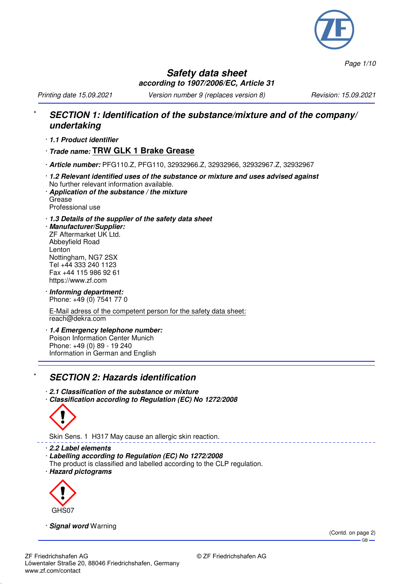

*Page 1/10*

## **Safety data sheet according to 1907/2006/EC, Article 31**

*Printing date 15.09.2021 Version number 9 (replaces version 8) Revision: 15.09.2021*

## \* **SECTION 1: Identification of the substance/mixture and of the company/ undertaking**

- · **1.1 Product identifier**
- · **Trade name: TRW GLK 1 Brake Grease**
- · **Article number:** PFG110.Z, PFG110, 32932966.Z, 32932966, 32932967.Z, 32932967
- · **1.2 Relevant identified uses of the substance or mixture and uses advised against** No further relevant information available. · **Application of the substance / the mixture**
- Grease Professional use
- · **1.3 Details of the supplier of the safety data sheet**
- · **Manufacturer/Supplier:** ZF Aftermarket UK Ltd. Abbeyfield Road Lenton Nottingham, NG7 2SX Tel +44 333 240 1123 Fax +44 115 986 92 61 https://www.zf.com
- · **Informing department:** Phone: +49 (0) 7541 77 0

E-Mail adress of the competent person for the safety data sheet: reach@dekra.com

· **1.4 Emergency telephone number:** Poison Information Center Munich Phone: +49 (0) 89 - 19 240 Information in German and English

## **SECTION 2: Hazards identification**

- · **2.1 Classification of the substance or mixture**
- · **Classification according to Regulation (EC) No 1272/2008**



Skin Sens. 1 H317 May cause an allergic skin reaction.

· **2.2 Label elements**

- · **Labelling according to Regulation (EC) No 1272/2008**
- The product is classified and labelled according to the CLP regulation.
- · **Hazard pictograms**



· **Signal word** Warning

(Contd. on page 2)  $-GB$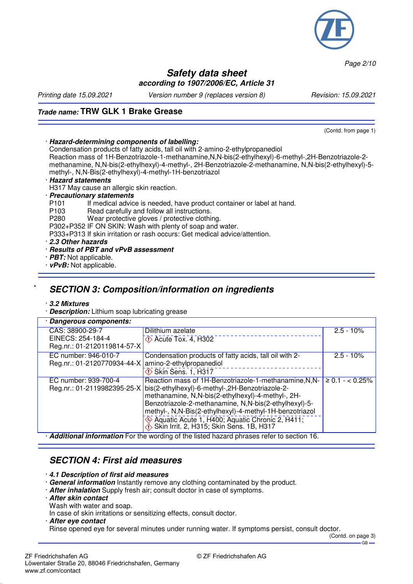

*Page 2/10*

### **Safety data sheet according to 1907/2006/EC, Article 31**

*Printing date 15.09.2021 Version number 9 (replaces version 8) Revision: 15.09.2021*

## **Trade name: TRW GLK 1 Brake Grease**

(Contd. from page 1)

### · **Hazard-determining components of labelling:**

Condensation products of fatty acids, tall oil with 2-amino-2-ethylpropanediol

Reaction mass of 1H-Benzotriazole-1-methanamine,N,N-bis(2-ethylhexyl)-6-methyl-,2H-Benzotriazole-2 methanamine, N,N-bis(2-ethylhexyl)-4-methyl-, 2H-Benzotriazole-2-methanamine, N,N-bis(2-ethylhexyl)-5 methyl-, N,N-Bis(2-ethylhexyl)-4-methyl-1H-benzotriazol

#### · **Hazard statements**

H317 May cause an allergic skin reaction.

# · **Precautionary statements**

P101 If medical advice is needed, have product container or label at hand.<br>P103 Bead carefully and follow all instructions

- P103 Read carefully and follow all instructions.<br>P280 Wear protective gloves / protective clothic
	- Wear protective gloves / protective clothing.

P302+P352 IF ON SKIN: Wash with plenty of soap and water.

P333+P313 If skin irritation or rash occurs: Get medical advice/attention.

- · **2.3 Other hazards**
- · **Results of PBT and vPvB assessment**
- · **PBT:** Not applicable.
- · **vPvB:** Not applicable.

## \* **SECTION 3: Composition/information on ingredients**

### · **3.2 Mixtures**

· **Description:** Lithium soap lubricating grease

| · Dangerous components:                                                                        |                                                                                                                                                                                                                                                                                                                                                                                              |                     |  |  |
|------------------------------------------------------------------------------------------------|----------------------------------------------------------------------------------------------------------------------------------------------------------------------------------------------------------------------------------------------------------------------------------------------------------------------------------------------------------------------------------------------|---------------------|--|--|
| CAS: 38900-29-7<br>EINECS: 254-184-4                                                           | Dilithium azelate<br>$\Diamond$ Acute Tox. 4, H302                                                                                                                                                                                                                                                                                                                                           | $2.5 - 10\%$        |  |  |
| Reg.nr.: 01-2120119814-57-X                                                                    |                                                                                                                                                                                                                                                                                                                                                                                              |                     |  |  |
| EC number: 946-010-7<br>Reg.nr.: 01-2120770934-44-X                                            | Condensation products of fatty acids, tall oil with 2-<br>amino-2-ethylpropanediol<br>$\diamondsuit$ Skin Sens. 1, H317                                                                                                                                                                                                                                                                      | $2.5 - 10\%$        |  |  |
| EC number: 939-700-4<br>Reg.nr.: 01-2119982395-25-X                                            | Reaction mass of 1H-Benzotriazole-1-methanamine, N, N-<br>bis(2-ethylhexyl)-6-methyl-,2H-Benzotriazole-2-<br>methanamine, N,N-bis(2-ethylhexyl)-4-methyl-, 2H-<br>Benzotriazole-2-methanamine, N,N-bis(2-ethylhexyl)-5-<br>methyl-, N,N-Bis(2-ethylhexyl)-4-methyl-1H-benzotriazol<br>Aquatic Acute 1, H400; Aquatic Chronic 2, H411;<br>$\diamond$ Skin Irrit. 2, H315; Skin Sens. 1B, H317 | $\geq 0.1 - 0.25\%$ |  |  |
| <b>Additional information</b> For the wording of the listed hazard phrases refer to soction 16 |                                                                                                                                                                                                                                                                                                                                                                                              |                     |  |  |

**artional information** For the wording of the listed hazard phrases refer to section 16.

## **SECTION 4: First aid measures**

- · **4.1 Description of first aid measures**
- · **General information** Instantly remove any clothing contaminated by the product.
- · **After inhalation** Supply fresh air; consult doctor in case of symptoms.

### · **After skin contact**

Wash with water and soap.

In case of skin irritations or sensitizing effects, consult doctor.

#### · **After eye contact**

Rinse opened eye for several minutes under running water. If symptoms persist, consult doctor.

(Contd. on page 3)  $-$  GB  $-$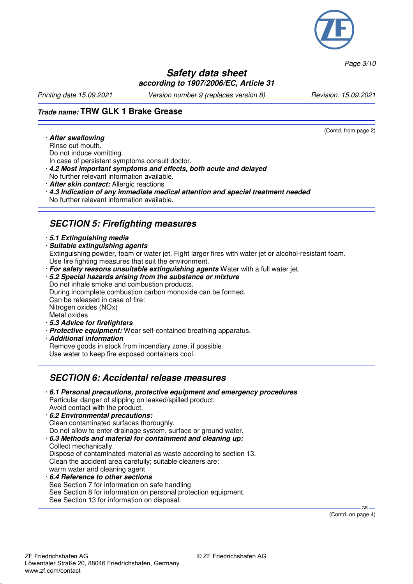

*Page 3/10*

## **Safety data sheet according to 1907/2006/EC, Article 31**

*Printing date 15.09.2021 Version number 9 (replaces version 8) Revision: 15.09.2021*

(Contd. from page 2)

## **Trade name: TRW GLK 1 Brake Grease**

· **After swallowing** Rinse out mouth.

Do not induce vomitting.

- In case of persistent symptoms consult doctor.
- · **4.2 Most important symptoms and effects, both acute and delayed**
- No further relevant information available.
- · **After skin contact:** Allergic reactions
- · **4.3 Indication of any immediate medical attention and special treatment needed** No further relevant information available.

## **SECTION 5: Firefighting measures**

### · **5.1 Extinguishing media**

· **Suitable extinguishing agents**

Extinguishing powder, foam or water jet. Fight larger fires with water jet or alcohol-resistant foam. Use fire fighting measures that suit the environment.

· **For safety reasons unsuitable extinguishing agents** Water with a full water jet.

#### · **5.2 Special hazards arising from the substance or mixture** Do not inhale smoke and combustion products. During incomplete combustion carbon monoxide can be formed. Can be released in case of fire: Nitrogen oxides (NOx)

Metal oxides

- · **5.3 Advice for firefighters**
- · **Protective equipment:** Wear self-contained breathing apparatus.
- · **Additional information** Remove goods in stock from incendiary zone, if possible.
- Use water to keep fire exposed containers cool.

## **SECTION 6: Accidental release measures**

- · **6.1 Personal precautions, protective equipment and emergency procedures** Particular danger of slipping on leaked/spilled product. Avoid contact with the product.
- · **6.2 Environmental precautions:** Clean contaminated surfaces thoroughly. Do not allow to enter drainage system, surface or ground water. · **6.3 Methods and material for containment and cleaning up:** Collect mechanically. Dispose of contaminated material as waste according to section 13.
	- Clean the accident area carefully; suitable cleaners are: warm water and cleaning agent
- · **6.4 Reference to other sections** See Section 7 for information on safe handling See Section 8 for information on personal protection equipment. See Section 13 for information on disposal.

(Contd. on page 4)

GB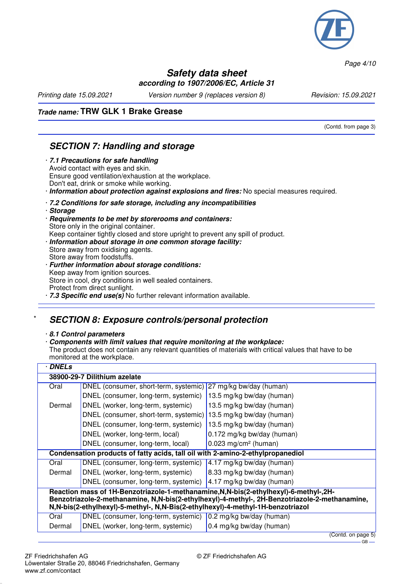

*Page 4/10*

### **Safety data sheet according to 1907/2006/EC, Article 31**

*Printing date 15.09.2021 Version number 9 (replaces version 8) Revision: 15.09.2021*

(Contd. from page 3)

## **Trade name: TRW GLK 1 Brake Grease**

## **SECTION 7: Handling and storage**

· **7.1 Precautions for safe handling** Avoid contact with eyes and skin. Ensure good ventilation/exhaustion at the workplace. Don't eat, drink or smoke while working. · **Information about protection against explosions and fires:** No special measures required.

- · **7.2 Conditions for safe storage, including any incompatibilities**
- · **Storage**
- · **Requirements to be met by storerooms and containers:** Store only in the original container. Keep container tightly closed and store upright to prevent any spill of product.
- · **Information about storage in one common storage facility:** Store away from oxidising agents.
- Store away from foodstuffs. · **Further information about storage conditions:** Keep away from ignition sources.

Store in cool, dry conditions in well sealed containers. Protect from direct sunlight.

· **7.3 Specific end use(s)** No further relevant information available.

## \* **SECTION 8: Exposure controls/personal protection**

### · **8.1 Control parameters**

### · **Components with limit values that require monitoring at the workplace:**

The product does not contain any relevant quantities of materials with critical values that have to be monitored at the workplace.

| 38900-29-7 Dilithium azelate                                                                                                                                                     |  |  |  |  |
|----------------------------------------------------------------------------------------------------------------------------------------------------------------------------------|--|--|--|--|
| 27 mg/kg bw/day (human)<br>DNEL (consumer, short-term, systemic)                                                                                                                 |  |  |  |  |
| 13.5 mg/kg bw/day (human)                                                                                                                                                        |  |  |  |  |
| 13.5 mg/kg bw/day (human)                                                                                                                                                        |  |  |  |  |
| DNEL (consumer, short-term, systemic)<br>13.5 mg/kg bw/day (human)                                                                                                               |  |  |  |  |
| 13.5 mg/kg bw/day (human)                                                                                                                                                        |  |  |  |  |
| 0.172 mg/kg bw/day (human)                                                                                                                                                       |  |  |  |  |
| $0.023$ mg/cm <sup>2</sup> (human)                                                                                                                                               |  |  |  |  |
| Condensation products of fatty acids, tall oil with 2-amino-2-ethylpropanediol                                                                                                   |  |  |  |  |
| 4.17 mg/kg bw/day (human)                                                                                                                                                        |  |  |  |  |
| 8.33 mg/kg bw/day (human)                                                                                                                                                        |  |  |  |  |
| 4.17 mg/kg bw/day (human)<br>DNEL (consumer, long-term, systemic)                                                                                                                |  |  |  |  |
| Reaction mass of 1H-Benzotriazole-1-methanamine, N, N-bis(2-ethylhexyl)-6-methyl-, 2H-                                                                                           |  |  |  |  |
| Benzotriazole-2-methanamine, N,N-bis(2-ethylhexyl)-4-methyl-, 2H-Benzotriazole-2-methanamine,<br>N,N-bis(2-ethylhexyl)-5-methyl-, N,N-Bis(2-ethylhexyl)-4-methyl-1H-benzotriazol |  |  |  |  |
| 0.2 mg/kg bw/day (human)                                                                                                                                                         |  |  |  |  |
| 0.4 mg/kg bw/day (human)                                                                                                                                                         |  |  |  |  |
| DNEL (consumer, long-term, systemic)                                                                                                                                             |  |  |  |  |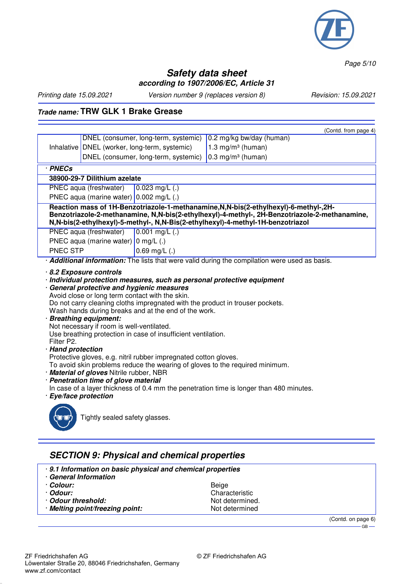

*Page 5/10*

## **Safety data sheet according to 1907/2006/EC, Article 31**

*Printing date 15.09.2021 Version number 9 (replaces version 8) Revision: 15.09.2021*

## **Trade name: TRW GLK 1 Brake Grease**

|                                                                                                                                                                                                                                                                                                                                                                                                                                                                                                                                                                                                                                                                                                                                 |                                             |                                               | (Contd. from page 4)                                                                         |  |  |
|---------------------------------------------------------------------------------------------------------------------------------------------------------------------------------------------------------------------------------------------------------------------------------------------------------------------------------------------------------------------------------------------------------------------------------------------------------------------------------------------------------------------------------------------------------------------------------------------------------------------------------------------------------------------------------------------------------------------------------|---------------------------------------------|-----------------------------------------------|----------------------------------------------------------------------------------------------|--|--|
|                                                                                                                                                                                                                                                                                                                                                                                                                                                                                                                                                                                                                                                                                                                                 |                                             | DNEL (consumer, long-term, systemic)          | 0.2 mg/kg bw/day (human)                                                                     |  |  |
|                                                                                                                                                                                                                                                                                                                                                                                                                                                                                                                                                                                                                                                                                                                                 |                                             | Inhalative DNEL (worker, long-term, systemic) | 1.3 mg/m <sup>3</sup> (human)                                                                |  |  |
|                                                                                                                                                                                                                                                                                                                                                                                                                                                                                                                                                                                                                                                                                                                                 |                                             | DNEL (consumer, long-term, systemic)          | $0.3$ mg/m <sup>3</sup> (human)                                                              |  |  |
| $\overline{\cdot$ PNECs                                                                                                                                                                                                                                                                                                                                                                                                                                                                                                                                                                                                                                                                                                         |                                             |                                               |                                                                                              |  |  |
| 38900-29-7 Dilithium azelate                                                                                                                                                                                                                                                                                                                                                                                                                                                                                                                                                                                                                                                                                                    |                                             |                                               |                                                                                              |  |  |
|                                                                                                                                                                                                                                                                                                                                                                                                                                                                                                                                                                                                                                                                                                                                 | PNEC aqua (freshwater)                      | $0.023$ mg/L $(.)$                            |                                                                                              |  |  |
| PNEC aqua (marine water) $0.002$ mg/L (.)                                                                                                                                                                                                                                                                                                                                                                                                                                                                                                                                                                                                                                                                                       |                                             |                                               |                                                                                              |  |  |
| Reaction mass of 1H-Benzotriazole-1-methanamine, N, N-bis(2-ethylhexyl)-6-methyl-, 2H-<br>Benzotriazole-2-methanamine, N,N-bis(2-ethylhexyl)-4-methyl-, 2H-Benzotriazole-2-methanamine,<br>N,N-bis(2-ethylhexyl)-5-methyl-, N,N-Bis(2-ethylhexyl)-4-methyl-1H-benzotriazol<br>PNEC aqua (freshwater)<br>$0.001$ mg/L $(.)$                                                                                                                                                                                                                                                                                                                                                                                                      |                                             |                                               |                                                                                              |  |  |
|                                                                                                                                                                                                                                                                                                                                                                                                                                                                                                                                                                                                                                                                                                                                 | PNEC aqua (marine water) $\vert$ 0 mg/L (.) |                                               |                                                                                              |  |  |
| <b>PNEC STP</b>                                                                                                                                                                                                                                                                                                                                                                                                                                                                                                                                                                                                                                                                                                                 |                                             | $0.69$ mg/L $(.)$                             |                                                                                              |  |  |
|                                                                                                                                                                                                                                                                                                                                                                                                                                                                                                                                                                                                                                                                                                                                 |                                             |                                               | Additional information: The lists that were valid during the compilation were used as basis. |  |  |
| Avoid close or long term contact with the skin.<br>Do not carry cleaning cloths impregnated with the product in trouser pockets.<br>Wash hands during breaks and at the end of the work.<br>· Breathing equipment:<br>Not necessary if room is well-ventilated.<br>Use breathing protection in case of insufficient ventilation.<br>Filter P2.<br>· Hand protection<br>Protective gloves, e.g. nitril rubber impregnated cotton gloves.<br>To avoid skin problems reduce the wearing of gloves to the required minimum.<br>· Material of gloves Nitrile rubber, NBR<br>· Penetration time of glove material<br>In case of a layer thickness of 0.4 mm the penetration time is longer than 480 minutes.<br>· Eye/face protection |                                             |                                               |                                                                                              |  |  |
| Tightly sealed safety glasses.                                                                                                                                                                                                                                                                                                                                                                                                                                                                                                                                                                                                                                                                                                  |                                             |                                               |                                                                                              |  |  |
| <b>SECTION 9: Physical and chemical properties</b>                                                                                                                                                                                                                                                                                                                                                                                                                                                                                                                                                                                                                                                                              |                                             |                                               |                                                                                              |  |  |

· **9.1 Information on basic physical and chemical properties** · **General Information** · **Colour:** Beige Characteristic<br>Not determined. • **Odour threshold:** Not determined.<br> **Melting point/freezing point:** Not determined  $\cdot$  Melting point/freezing point: (Contd. on page 6)

- GB -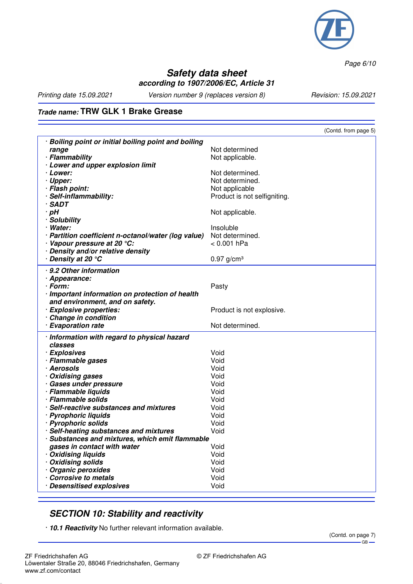

*Page 6/10*

## **Safety data sheet according to 1907/2006/EC, Article 31**

*Printing date 15.09.2021 Version number 9 (replaces version 8) Revision: 15.09.2021*

## **Trade name: TRW GLK 1 Brake Grease**

| · Boiling point or initial boiling point and boiling<br>Not determined<br>range<br>· Flammability<br>Not applicable.<br>· Lower and upper explosion limit<br>Not determined.<br>· Lower:<br>· Upper:<br>Not determined.<br>· Flash point:<br>Not applicable<br>· Self-inflammability:<br>Product is not selfigniting.<br>· SADT<br>$\cdot$ pH<br>Not applicable.<br>· Solubility<br>· Water:<br>Insoluble<br>Not determined.<br>· Partition coefficient n-octanol/water (log value)<br>· Vapour pressure at 20 °C:<br>< 0.001 hPa<br>· Density and/or relative density<br>· Density at 20 ℃<br>$0.97$ g/cm <sup>3</sup><br>· 9.2 Other information |
|----------------------------------------------------------------------------------------------------------------------------------------------------------------------------------------------------------------------------------------------------------------------------------------------------------------------------------------------------------------------------------------------------------------------------------------------------------------------------------------------------------------------------------------------------------------------------------------------------------------------------------------------------|
|                                                                                                                                                                                                                                                                                                                                                                                                                                                                                                                                                                                                                                                    |
|                                                                                                                                                                                                                                                                                                                                                                                                                                                                                                                                                                                                                                                    |
|                                                                                                                                                                                                                                                                                                                                                                                                                                                                                                                                                                                                                                                    |
|                                                                                                                                                                                                                                                                                                                                                                                                                                                                                                                                                                                                                                                    |
|                                                                                                                                                                                                                                                                                                                                                                                                                                                                                                                                                                                                                                                    |
|                                                                                                                                                                                                                                                                                                                                                                                                                                                                                                                                                                                                                                                    |
|                                                                                                                                                                                                                                                                                                                                                                                                                                                                                                                                                                                                                                                    |
|                                                                                                                                                                                                                                                                                                                                                                                                                                                                                                                                                                                                                                                    |
|                                                                                                                                                                                                                                                                                                                                                                                                                                                                                                                                                                                                                                                    |
|                                                                                                                                                                                                                                                                                                                                                                                                                                                                                                                                                                                                                                                    |
|                                                                                                                                                                                                                                                                                                                                                                                                                                                                                                                                                                                                                                                    |
|                                                                                                                                                                                                                                                                                                                                                                                                                                                                                                                                                                                                                                                    |
|                                                                                                                                                                                                                                                                                                                                                                                                                                                                                                                                                                                                                                                    |
|                                                                                                                                                                                                                                                                                                                                                                                                                                                                                                                                                                                                                                                    |
|                                                                                                                                                                                                                                                                                                                                                                                                                                                                                                                                                                                                                                                    |
|                                                                                                                                                                                                                                                                                                                                                                                                                                                                                                                                                                                                                                                    |
|                                                                                                                                                                                                                                                                                                                                                                                                                                                                                                                                                                                                                                                    |
| · Appearance:                                                                                                                                                                                                                                                                                                                                                                                                                                                                                                                                                                                                                                      |
| $\cdot$ Form:<br>Pasty                                                                                                                                                                                                                                                                                                                                                                                                                                                                                                                                                                                                                             |
| · Important information on protection of health                                                                                                                                                                                                                                                                                                                                                                                                                                                                                                                                                                                                    |
| and environment, and on safety.                                                                                                                                                                                                                                                                                                                                                                                                                                                                                                                                                                                                                    |
| · Explosive properties:<br>Product is not explosive.                                                                                                                                                                                                                                                                                                                                                                                                                                                                                                                                                                                               |
| Change in condition<br>Not determined.<br>· Evaporation rate                                                                                                                                                                                                                                                                                                                                                                                                                                                                                                                                                                                       |
|                                                                                                                                                                                                                                                                                                                                                                                                                                                                                                                                                                                                                                                    |
| · Information with regard to physical hazard                                                                                                                                                                                                                                                                                                                                                                                                                                                                                                                                                                                                       |
| classes                                                                                                                                                                                                                                                                                                                                                                                                                                                                                                                                                                                                                                            |
| Void<br>· Explosives                                                                                                                                                                                                                                                                                                                                                                                                                                                                                                                                                                                                                               |
| · Flammable gases<br>Void<br>· Aerosols<br>Void                                                                                                                                                                                                                                                                                                                                                                                                                                                                                                                                                                                                    |
| · Oxidising gases<br>Void                                                                                                                                                                                                                                                                                                                                                                                                                                                                                                                                                                                                                          |
| · Gases under pressure<br>Void                                                                                                                                                                                                                                                                                                                                                                                                                                                                                                                                                                                                                     |
| · Flammable liquids<br>Void                                                                                                                                                                                                                                                                                                                                                                                                                                                                                                                                                                                                                        |
| · Flammable solids<br>Void                                                                                                                                                                                                                                                                                                                                                                                                                                                                                                                                                                                                                         |
| · Self-reactive substances and mixtures<br>Void                                                                                                                                                                                                                                                                                                                                                                                                                                                                                                                                                                                                    |
| · Pyrophoric liquids<br>Void                                                                                                                                                                                                                                                                                                                                                                                                                                                                                                                                                                                                                       |
| · Pyrophoric solids<br>Void                                                                                                                                                                                                                                                                                                                                                                                                                                                                                                                                                                                                                        |
| · Self-heating substances and mixtures<br>Void                                                                                                                                                                                                                                                                                                                                                                                                                                                                                                                                                                                                     |
| Substances and mixtures, which emit flammable                                                                                                                                                                                                                                                                                                                                                                                                                                                                                                                                                                                                      |
| Void<br>gases in contact with water                                                                                                                                                                                                                                                                                                                                                                                                                                                                                                                                                                                                                |
| Void<br>· Oxidising liquids                                                                                                                                                                                                                                                                                                                                                                                                                                                                                                                                                                                                                        |
| · Oxidising solids<br>Void                                                                                                                                                                                                                                                                                                                                                                                                                                                                                                                                                                                                                         |
| · Organic peroxides<br>Void                                                                                                                                                                                                                                                                                                                                                                                                                                                                                                                                                                                                                        |
| Corrosive to metals<br>Void                                                                                                                                                                                                                                                                                                                                                                                                                                                                                                                                                                                                                        |
| · Desensitised explosives<br>Void                                                                                                                                                                                                                                                                                                                                                                                                                                                                                                                                                                                                                  |

## **SECTION 10: Stability and reactivity**

· **10.1 Reactivity** No further relevant information available.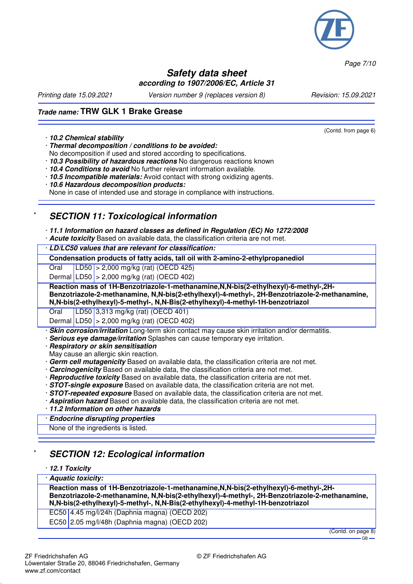

*Page 7/10*

### **Safety data sheet according to 1907/2006/EC, Article 31**

*Printing date 15.09.2021 Version number 9 (replaces version 8) Revision: 15.09.2021*

(Contd. from page 6)

## **Trade name: TRW GLK 1 Brake Grease**

#### · **10.2 Chemical stability**

· **Thermal decomposition / conditions to be avoided:** No decomposition if used and stored according to specifications.

· **10.3 Possibility of hazardous reactions** No dangerous reactions known

· **10.4 Conditions to avoid** No further relevant information available.

- · **10.5 Incompatible materials:** Avoid contact with strong oxidizing agents.
- · **10.6 Hazardous decomposition products:**

None in case of intended use and storage in compliance with instructions.

## **SECTION 11: Toxicological information**

· **11.1 Information on hazard classes as defined in Regulation (EC) No 1272/2008**

· **Acute toxicity** Based on available data, the classification criteria are not met.

· **LD/LC50 values that are relevant for classification:**

**Condensation products of fatty acids, tall oil with 2-amino-2-ethylpropanediol**

Oral LD50 > 2,000 mg/kg (rat) (OECD 425)

Dermal  $|LD50| > 2,000$  mg/kg (rat) (OECD 402)

**Reaction mass of 1H-Benzotriazole-1-methanamine,N,N-bis(2-ethylhexyl)-6-methyl-,2H-Benzotriazole-2-methanamine, N,N-bis(2-ethylhexyl)-4-methyl-, 2H-Benzotriazole-2-methanamine, N,N-bis(2-ethylhexyl)-5-methyl-, N,N-Bis(2-ethylhexyl)-4-methyl-1H-benzotriazol**

Oral LD50 3,313 mg/kg (rat) (OECD 401)

Dermal LD50 > 2,000 mg/kg (rat) (OECD 402)

**Skin corrosion/irritation** Long-term skin contact may cause skin irritation and/or dermatitis.

- **Serious eye damage/irritation** Splashes can cause temporary eye irritation.
- · **Respiratory or skin sensitisation**
- May cause an allergic skin reaction.
- · **Germ cell mutagenicity** Based on available data, the classification criteria are not met.
- · **Carcinogenicity** Based on available data, the classification criteria are not met.
- · **Reproductive toxicity** Based on available data, the classification criteria are not met.
- · **STOT-single exposure** Based on available data, the classification criteria are not met.
- · **STOT-repeated exposure** Based on available data, the classification criteria are not met.
- · **Aspiration hazard** Based on available data, the classification criteria are not met.
- · **11.2 Information on other hazards**

· **Endocrine disrupting properties**

None of the ingredients is listed.

## **SECTION 12: Ecological information**

### · **12.1 Toxicity**

### · **Aquatic toxicity:**

**Reaction mass of 1H-Benzotriazole-1-methanamine,N,N-bis(2-ethylhexyl)-6-methyl-,2H-Benzotriazole-2-methanamine, N,N-bis(2-ethylhexyl)-4-methyl-, 2H-Benzotriazole-2-methanamine, N,N-bis(2-ethylhexyl)-5-methyl-, N,N-Bis(2-ethylhexyl)-4-methyl-1H-benzotriazol**

EC50 4.45 mg/l/24h (Daphnia magna) (OECD 202)

EC50 2.05 mg/l/48h (Daphnia magna) (OECD 202)

(Contd. on page 8)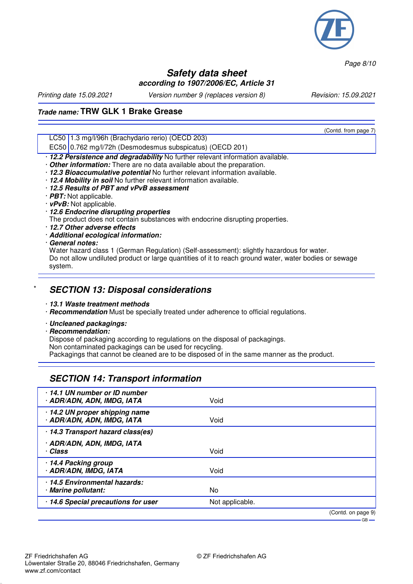

*Page 8/10*

### **Safety data sheet according to 1907/2006/EC, Article 31**

*Printing date 15.09.2021 Version number 9 (replaces version 8) Revision: 15.09.2021*

(Contd. from page 7)

## **Trade name: TRW GLK 1 Brake Grease**

LC50 1.3 mg/l/96h (Brachydario rerio) (OECD 203)

EC50 0.762 mg/l/72h (Desmodesmus subspicatus) (OECD 201)

· **12.2 Persistence and degradability** No further relevant information available.

· **Other information:** There are no data available about the preparation.

· **12.3 Bioaccumulative potential** No further relevant information available.

- · **12.4 Mobility in soil** No further relevant information available.
- · **12.5 Results of PBT and vPvB assessment**
- · **PBT:** Not applicable.
- · **vPvB:** Not applicable.
- · **12.6 Endocrine disrupting properties**

The product does not contain substances with endocrine disrupting properties.

- · **12.7 Other adverse effects**
- · **Additional ecological information:**
- · **General notes:**

Water hazard class 1 (German Regulation) (Self-assessment): slightly hazardous for water. Do not allow undiluted product or large quantities of it to reach ground water, water bodies or sewage system.

### \* **SECTION 13: Disposal considerations**

· **13.1 Waste treatment methods**

· **Recommendation** Must be specially treated under adherence to official regulations.

· **Uncleaned packagings:**

· **Recommendation:**

www.zf.com/contact

Dispose of packaging according to regulations on the disposal of packagings. Non contaminated packagings can be used for recycling. Packagings that cannot be cleaned are to be disposed of in the same manner as the product.

## **SECTION 14: Transport information**

| 14.1 UN number or ID number<br>· ADR/ADN, ADN, IMDG, IATA    | Void            |                              |
|--------------------------------------------------------------|-----------------|------------------------------|
| · 14.2 UN proper shipping name<br>· ADR/ADN, ADN, IMDG, IATA | Void            |                              |
| · 14.3 Transport hazard class(es)                            |                 |                              |
| · ADR/ADN, ADN, IMDG, IATA<br>· Class                        | Void            |                              |
| 14.4 Packing group<br>· ADR/ADN, IMDG, IATA                  | Void            |                              |
| 14.5 Environmental hazards:<br>· Marine pollutant:           | No              |                              |
| · 14.6 Special precautions for user                          | Not applicable. |                              |
|                                                              |                 | (Contd. on page 9)<br>– GB — |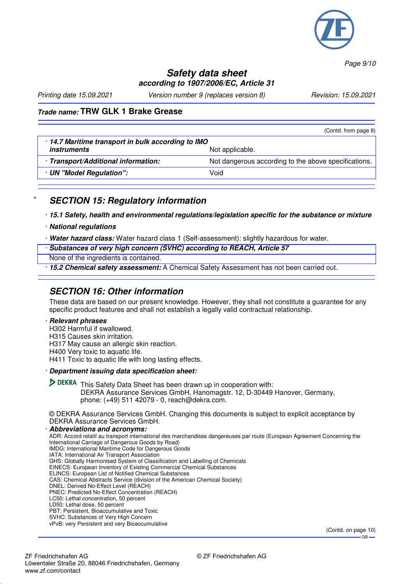

*Page 9/10*

## **Safety data sheet according to 1907/2006/EC, Article 31**

*Printing date 15.09.2021 Version number 9 (replaces version 8) Revision: 15.09.2021*

## **Trade name: TRW GLK 1 Brake Grease**

|                                                  | (Contd. from page 8)                                 |  |
|--------------------------------------------------|------------------------------------------------------|--|
| 14.7 Maritime transport in bulk according to IMO |                                                      |  |
| <i>instruments</i>                               | Not applicable.                                      |  |
| · Transport/Additional information:              | Not dangerous according to the above specifications. |  |
| · UN "Model Regulation":                         | Void                                                 |  |
|                                                  |                                                      |  |

## **SECTION 15: Regulatory information**

· **15.1 Safety, health and environmental regulations/legislation specific for the substance or mixture**

- · **National regulations**
- · **Water hazard class:** Water hazard class 1 (Self-assessment): slightly hazardous for water.
- · **Substances of very high concern (SVHC) according to REACH, Article 57**
- None of the ingredients is contained.

· **15.2 Chemical safety assessment:** A Chemical Safety Assessment has not been carried out.

## **SECTION 16: Other information**

These data are based on our present knowledge. However, they shall not constitute a guarantee for any specific product features and shall not establish a legally valid contractual relationship.

#### · **Relevant phrases**

- H302 Harmful if swallowed.
- H315 Causes skin irritation.
- H317 May cause an allergic skin reaction.
- H400 Very toxic to aquatic life.
- H411 Toxic to aquatic life with long lasting effects.
- · **Department issuing data specification sheet:**

**DEKRA** This Safety Data Sheet has been drawn up in cooperation with: DEKRA Assurance Services GmbH, Hanomagstr. 12, D-30449 Hanover, Germany, phone: (+49) 511 42079 - 0, reach@dekra.com.

© DEKRA Assurance Services GmbH. Changing this documents is subject to explicit acceptance by DEKRA Assurance Services GmbH. · **Abbreviations and acronyms:**

#### ADR: Accord relatif au transport international des marchandises dangereuses par route (European Agreement Concerning the International Carriage of Dangerous Goods by Road) IMDG: International Maritime Code for Dangerous Goods IATA: International Air Transport Association GHS: Globally Harmonised System of Classification and Labelling of Chemicals EINECS: European Inventory of Existing Commercial Chemical Substances ELINCS: European List of Notified Chemical Substances CAS: Chemical Abstracts Service (division of the American Chemical Society) DNEL: Derived No-Effect Level (REACH) PNEC: Predicted No-Effect Concentration (REACH) LC50: Lethal concentration, 50 percent LD50: Lethal dose, 50 percent PBT: Persistent, Bioaccumulative and Toxic SVHC: Substances of Very High Concern vPvB: very Persistent and very Bioaccumulative

(Contd. on page 10)  $-GB -$